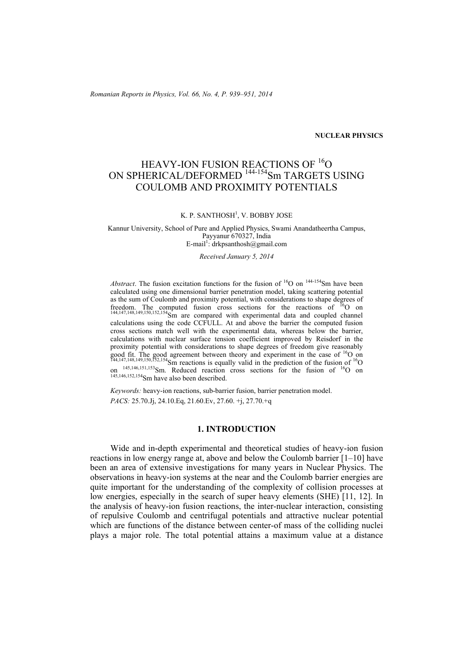*Romanian Reports in Physics, Vol. 66, No. 4, P. 939–951, 2014*

## **NUCLEAR PHYSICS**

# HEAVY-ION FUSION REACTIONS OF <sup>16</sup>O ON SPHERICAL/DEFORMED <sup>144-154</sup>Sm TARGETS USING COULOMB AND PROXIMITY POTENTIALS

### K. P. SANTHOSH<sup>1</sup>, V. BOBBY JOSE

Kannur University, School of Pure and Applied Physics, Swami Anandatheertha Campus, Payyanur 670327, India E-mail<sup>1</sup>: drkpsanthosh@gmail.com

*Received January 5, 2014* 

*Abstract*. The fusion excitation functions for the fusion of  $^{16}O$  on  $^{144-154}Sm$  have been calculated using one dimensional barrier penetration model, taking scattering potential as the sum of Coulomb and proximity potential, with considerations to shape degrees of freedom. The computed fusion cross sections for the reactions of  ${}^{16}O$  on  $144,147,148,149,150,152,154$ Sm are compared with experimental data and coupled channel calculations using the code CCFULL. At and above the barrier the computed fusion cross sections match well with the experimental data, whereas below the barrier, calculations with nuclear surface tension coefficient improved by Reisdorf in the proximity potential with considerations to shape degrees of freedom give reasonably good fit. The good agreement between theory and experiment in the case of <sup>16</sup>O on  $144,147,148,149,150,152,154$ Sm reactions is equally valid in the prediction of the fusion of  $16$ O on <sup>145,146,151,153</sup>Sm. Reduced reaction cross sections for the fusion of <sup>16</sup>O on 145,146,152,154Sm have also been described.

*Keywords:* heavy-ion reactions, sub-barrier fusion, barrier penetration model. *PACS:* 25.70.Jj, 24.10.Eq, 21.60.Ev, 27.60. +j, 27.70.+q

## **1. INTRODUCTION**

Wide and in-depth experimental and theoretical studies of heavy-ion fusion reactions in low energy range at, above and below the Coulomb barrier [1–10] have been an area of extensive investigations for many years in Nuclear Physics. The observations in heavy-ion systems at the near and the Coulomb barrier energies are quite important for the understanding of the complexity of collision processes at low energies, especially in the search of super heavy elements (SHE) [11, 12]. In the analysis of heavy-ion fusion reactions, the inter-nuclear interaction, consisting of repulsive Coulomb and centrifugal potentials and attractive nuclear potential which are functions of the distance between center-of mass of the colliding nuclei plays a major role. The total potential attains a maximum value at a distance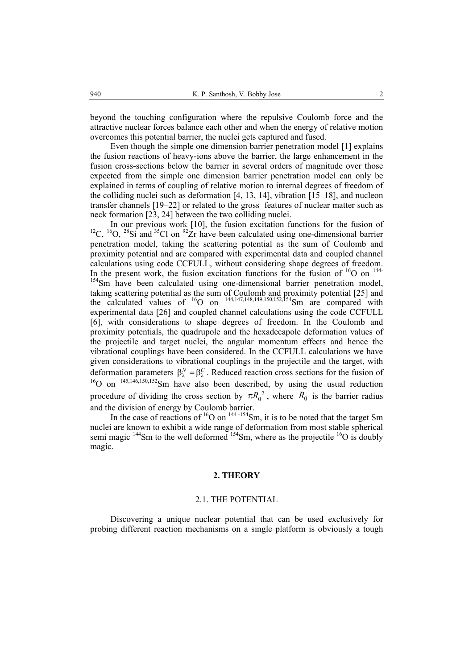beyond the touching configuration where the repulsive Coulomb force and the attractive nuclear forces balance each other and when the energy of relative motion overcomes this potential barrier, the nuclei gets captured and fused.

Even though the simple one dimension barrier penetration model [1] explains the fusion reactions of heavy-ions above the barrier, the large enhancement in the fusion cross-sections below the barrier in several orders of magnitude over those expected from the simple one dimension barrier penetration model can only be explained in terms of coupling of relative motion to internal degrees of freedom of the colliding nuclei such as deformation [4, 13, 14], vibration [15–18], and nucleon transfer channels [19–22] or related to the gross features of nuclear matter such as neck formation [23, 24] between the two colliding nuclei.

In our previous work [10], the fusion excitation functions for the fusion of <sup>12</sup>C, <sup>16</sup>O, <sup>28</sup>Si and <sup>35</sup>Cl on <sup>92</sup>Zr have been calculated using one-dimensional barrier penetration model, taking the scattering potential as the sum of Coulomb and proximity potential and are compared with experimental data and coupled channel calculations using code CCFULL, without considering shape degrees of freedom. In the present work, the fusion excitation functions for the fusion of  $^{16}O$  on  $^{144}$ <sup>154</sup>Sm have been calculated using one-dimensional barrier penetration model, taking scattering potential as the sum of Coulomb and proximity potential [25] and the calculated values of  ${}^{16}O$  on  ${}^{144,147,148,149,150,152,154}Sm$  are compared with experimental data [26] and coupled channel calculations using the code CCFULL [6], with considerations to shape degrees of freedom. In the Coulomb and proximity potentials, the quadrupole and the hexadecapole deformation values of the projectile and target nuclei, the angular momentum effects and hence the vibrational couplings have been considered. In the CCFULL calculations we have given considerations to vibrational couplings in the projectile and the target, with deformation parameters  $\beta_{\lambda}^{N} = \beta_{\lambda}^{C}$ . Reduced reaction cross sections for the fusion of <sup>16</sup>O on <sup>145,146,150,152</sup>Sm have also been described, by using the usual reduction procedure of dividing the cross section by  $\pi R_0^2$ , where  $R_0$  is the barrier radius and the division of energy by Coulomb barrier.

In the case of reactions of  ${}^{16}O$  on  ${}^{144-154}Sm$ , it is to be noted that the target Sm nuclei are known to exhibit a wide range of deformation from most stable spherical semi magic  $144$ Sm to the well deformed  $154$ Sm, where as the projectile  $16$ O is doubly magic.

#### **2. THEORY**

#### 2.1. THE POTENTIAL

Discovering a unique nuclear potential that can be used exclusively for probing different reaction mechanisms on a single platform is obviously a tough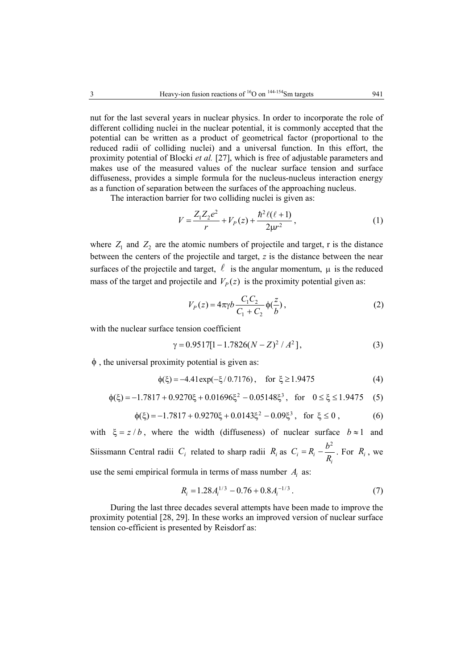nut for the last several years in nuclear physics. In order to incorporate the role of different colliding nuclei in the nuclear potential, it is commonly accepted that the potential can be written as a product of geometrical factor (proportional to the reduced radii of colliding nuclei) and a universal function. In this effort, the proximity potential of Blocki *et al.* [27], which is free of adjustable parameters and makes use of the measured values of the nuclear surface tension and surface diffuseness, provides a simple formula for the nucleus-nucleus interaction energy as a function of separation between the surfaces of the approaching nucleus.

The interaction barrier for two colliding nuclei is given as:

$$
V = \frac{Z_1 Z_2 e^2}{r} + V_P(z) + \frac{\hbar^2 \ell(\ell+1)}{2\mu r^2},
$$
\n(1)

where  $Z_1$  and  $Z_2$  are the atomic numbers of projectile and target, r is the distance between the centers of the projectile and target, *z* is the distance between the near surfaces of the projectile and target,  $\ell$  is the angular momentum,  $\mu$  is the reduced mass of the target and projectile and  $V_p(z)$  is the proximity potential given as:

$$
V_P(z) = 4\pi\gamma b \frac{C_1 C_2}{C_1 + C_2} \phi(\frac{z}{b}),
$$
 (2)

with the nuclear surface tension coefficient

$$
\gamma = 0.9517[1 - 1.7826(N - Z)^{2} / A^{2}],
$$
\n(3)

 $\phi$ , the universal proximity potential is given as:

$$
\phi(\xi) = -4.41 \exp(-\xi/0.7176), \quad \text{for } \xi \ge 1.9475 \tag{4}
$$

$$
\phi(\xi) = -1.7817 + 0.9270\xi + 0.01696\xi^2 - 0.05148\xi^3, \text{ for } 0 \le \xi \le 1.9475 \quad (5)
$$

$$
\phi(\xi) = -1.7817 + 0.9270\xi + 0.0143\xi^2 - 0.09\xi^3, \text{ for } \xi \le 0,
$$
 (6)

with  $\xi = z/b$ , where the width (diffuseness) of nuclear surface  $b \approx 1$  and Siissmann Central radii  $C_i$  related to sharp radii  $R_i$  as  $C_i = R_i - \frac{b^2}{R_i}$  $i - \Lambda_i$ *i*  $C_i = R_i - \frac{b^2}{R_i}$ . For  $R_i$ , we use the semi empirical formula in terms of mass number  $A_i$  as:

$$
R_i = 1.28A_i^{1/3} - 0.76 + 0.8A_i^{-1/3}.
$$
 (7)

During the last three decades several attempts have been made to improve the proximity potential [28, 29]. In these works an improved version of nuclear surface tension co-efficient is presented by Reisdorf as: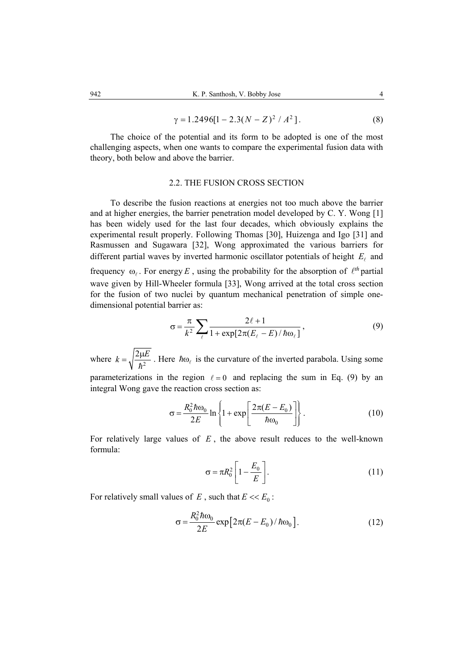$$
\gamma = 1.2496[1 - 2.3(N - Z)^{2} / A^{2}].
$$
 (8)

The choice of the potential and its form to be adopted is one of the most challenging aspects, when one wants to compare the experimental fusion data with theory, both below and above the barrier.

### 2.2. THE FUSION CROSS SECTION

To describe the fusion reactions at energies not too much above the barrier and at higher energies, the barrier penetration model developed by C. Y. Wong [1] has been widely used for the last four decades, which obviously explains the experimental result properly. Following Thomas [30], Huizenga and Igo [31] and Rasmussen and Sugawara [32], Wong approximated the various barriers for different partial waves by inverted harmonic oscillator potentials of height  $E_\ell$  and frequency  $\omega_{\ell}$ . For energy *E*, using the probability for the absorption of  $\ell^{th}$  partial wave given by Hill-Wheeler formula [33], Wong arrived at the total cross section for the fusion of two nuclei by quantum mechanical penetration of simple onedimensional potential barrier as:

$$
\sigma = \frac{\pi}{k^2} \sum_{\ell} \frac{2\ell + 1}{1 + \exp[2\pi(E_{\ell} - E)/\hbar \omega_{\ell}]} \,, \tag{9}
$$

where  $k = \sqrt{\frac{2\mu E}{\hbar^2}}$ . Here  $\hbar \omega_\ell$  is the curvature of the inverted parabola. Using some parameterizations in the region  $\ell = 0$  and replacing the sum in Eq. (9) by an integral Wong gave the reaction cross section as:

$$
\sigma = \frac{R_0^2 \hbar \omega_0}{2E} \ln \left\{ 1 + \exp\left[ \frac{2\pi (E - E_0)}{\hbar \omega_0} \right] \right\}.
$$
 (10)

For relatively large values of *E* , the above result reduces to the well-known formula:

$$
\sigma = \pi R_0^2 \left[ 1 - \frac{E_0}{E} \right].
$$
\n(11)

For relatively small values of  $E$ , such that  $E \ll E_0$ :

$$
\sigma = \frac{R_0^2 \hbar \omega_0}{2E} \exp\left[2\pi(E - E_0)/\hbar \omega_0\right].
$$
 (12)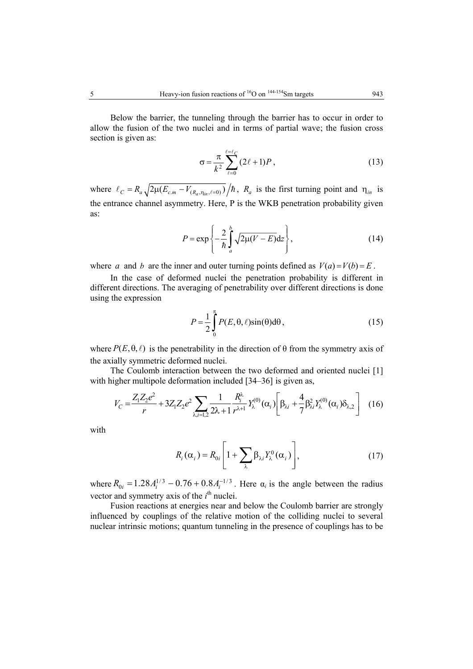Below the barrier, the tunneling through the barrier has to occur in order to allow the fusion of the two nuclei and in terms of partial wave; the fusion cross section is given as:

$$
\sigma = \frac{\pi}{k^2} \sum_{\ell=0}^{\ell=\ell_C} (2\ell+1) P , \qquad (13)
$$

where  $\ell_C = R_a \sqrt{2\mu(E_{c.m} - V_{(R_a, \eta_m, \ell=0)})}/\hbar$ ,  $R_a$  is the first turning point and  $\eta_{in}$  is the entrance channel asymmetry. Here, P is the WKB penetration probability given as:

$$
P = \exp\left\{-\frac{2}{\hbar} \int_{a}^{b} \sqrt{2\mu(V - E)} dz\right\},\tag{14}
$$

where *a* and *b* are the inner and outer turning points defined as  $V(a) = V(b) = E$ .

In the case of deformed nuclei the penetration probability is different in different directions. The averaging of penetrability over different directions is done using the expression

$$
P = \frac{1}{2} \int_{0}^{\pi} P(E, \theta, \ell) \sin(\theta) d\theta, \qquad (15)
$$

where  $P(E, \theta, \ell)$  is the penetrability in the direction of  $\theta$  from the symmetry axis of the axially symmetric deformed nuclei.

The Coulomb interaction between the two deformed and oriented nuclei [1] with higher multipole deformation included [34–36] is given as,

$$
V_C = \frac{Z_1 Z_2 e^2}{r} + 3Z_1 Z_2 e^2 \sum_{\lambda, i=1,2} \frac{1}{2\lambda + 1} \frac{R_i^{\lambda}}{r^{\lambda + 1}} Y_{\lambda}^{(0)}(\alpha_i) \left[ \beta_{\lambda i} + \frac{4}{7} \beta_{\lambda i}^2 Y_{\lambda}^{(0)}(\alpha_i) \delta_{\lambda,2} \right]
$$
 (16)

with

$$
R_i(\alpha_i) = R_{0i} \left[ 1 + \sum_{\lambda} \beta_{\lambda i} Y_{\lambda}^0(\alpha_i) \right],
$$
 (17)

where  $R_{0i} = 1.28 A_i^{1/3} - 0.76 + 0.8 A_i^{-1/3}$ . Here  $\alpha_i$  is the angle between the radius vector and symmetry axis of the  $i<sup>th</sup>$  nuclei.

Fusion reactions at energies near and below the Coulomb barrier are strongly influenced by couplings of the relative motion of the colliding nuclei to several nuclear intrinsic motions; quantum tunneling in the presence of couplings has to be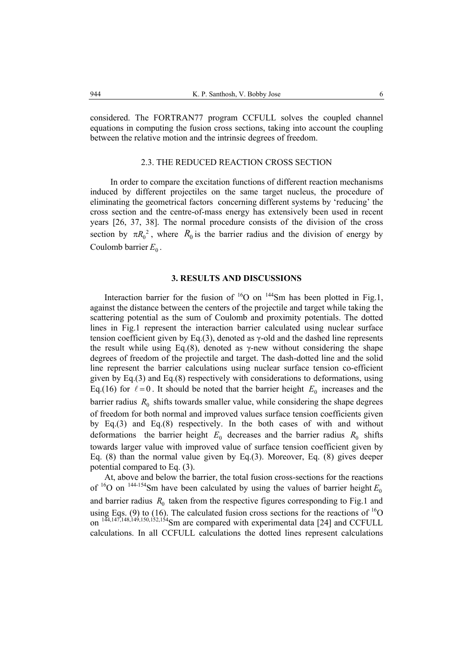considered. The FORTRAN77 program CCFULL solves the coupled channel equations in computing the fusion cross sections, taking into account the coupling between the relative motion and the intrinsic degrees of freedom.

## 2.3. THE REDUCED REACTION CROSS SECTION

In order to compare the excitation functions of different reaction mechanisms induced by different projectiles on the same target nucleus, the procedure of eliminating the geometrical factors concerning different systems by 'reducing' the cross section and the centre-of-mass energy has extensively been used in recent years [26, 37, 38]. The normal procedure consists of the division of the cross section by  $\pi R_0^2$ , where  $R_0$  is the barrier radius and the division of energy by Coulomb barrier  $E_0$ .

## **3. RESULTS AND DISCUSSIONS**

Interaction barrier for the fusion of  $^{16}O$  on  $^{144}Sm$  has been plotted in Fig.1, against the distance between the centers of the projectile and target while taking the scattering potential as the sum of Coulomb and proximity potentials. The dotted lines in Fig.1 represent the interaction barrier calculated using nuclear surface tension coefficient given by Eq.(3), denoted as γ-old and the dashed line represents the result while using Eq.(8), denoted as  $\gamma$ -new without considering the shape degrees of freedom of the projectile and target. The dash-dotted line and the solid line represent the barrier calculations using nuclear surface tension co-efficient given by Eq.(3) and Eq.(8) respectively with considerations to deformations, using Eq.(16) for  $\ell = 0$ . It should be noted that the barrier height  $E_0$  increases and the barrier radius  $R_0$  shifts towards smaller value, while considering the shape degrees of freedom for both normal and improved values surface tension coefficients given by Eq.(3) and Eq.(8) respectively. In the both cases of with and without deformations the barrier height  $E_0$  decreases and the barrier radius  $R_0$  shifts towards larger value with improved value of surface tension coefficient given by Eq. (8) than the normal value given by Eq.(3). Moreover, Eq. (8) gives deeper potential compared to Eq. (3).

At, above and below the barrier, the total fusion cross-sections for the reactions of  $16$ O on  $144-154$ Sm have been calculated by using the values of barrier height  $E_0$ and barrier radius  $R_0$  taken from the respective figures corresponding to Fig.1 and using Eqs. (9) to (16). The calculated fusion cross sections for the reactions of  ${}^{16}O$ on  $144,147,148,149,150,152,154$ Sm are compared with experimental data [24] and CCFULL calculations. In all CCFULL calculations the dotted lines represent calculations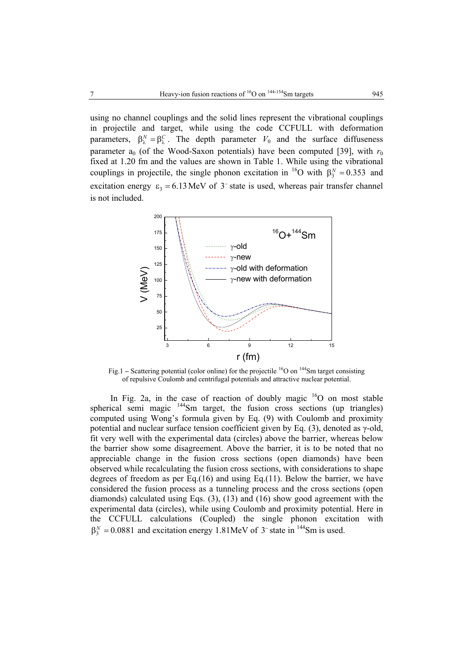using no channel couplings and the solid lines represent the vibrational couplings in projectile and target, while using the code CCFULL with deformation parameters,  $\beta_2^N = \beta_2^C$ . The depth parameter  $V_0$  and the surface diffuseness parameter  $a_0$  (of the Wood-Saxon potentials) have been computed [39], with  $r_0$ fixed at 1.20 fm and the values are shown in Table 1. While using the vibrational couplings in projectile, the single phonon excitation in <sup>16</sup>O with  $\beta_3^N = 0.353$  and excitation energy  $\varepsilon_3 = 6.13 \text{ MeV}$  of 3<sup>-</sup> state is used, whereas pair transfer channel is not included.



Fig.1 – Scattering potential (color online) for the projectile <sup>16</sup>O on <sup>144</sup>Sm target consisting of repulsive Coulomb and centrifugal potentials and attractive nuclear potential.

In Fig. 2a, in the case of reaction of doubly magic  $16$ O on most stable spherical semi magic  $144$ Sm target, the fusion cross sections (up triangles) computed using Wong's formula given by Eq. (9) with Coulomb and proximity potential and nuclear surface tension coefficient given by Eq. (3), denoted as γ-old, fit very well with the experimental data (circles) above the barrier, whereas below the barrier show some disagreement. Above the barrier, it is to be noted that no appreciable change in the fusion cross sections (open diamonds) have been observed while recalculating the fusion cross sections, with considerations to shape degrees of freedom as per Eq.(16) and using Eq.(11). Below the barrier, we have considered the fusion process as a tunneling process and the cross sections (open diamonds) calculated using Eqs. (3), (13) and (16) show good agreement with the experimental data (circles), while using Coulomb and proximity potential. Here in the CCFULL calculations (Coupled) the single phonon excitation with  $\beta_2^N = 0.0881$  and excitation energy 1.81MeV of 3<sup>-</sup> state in <sup>144</sup>Sm is used.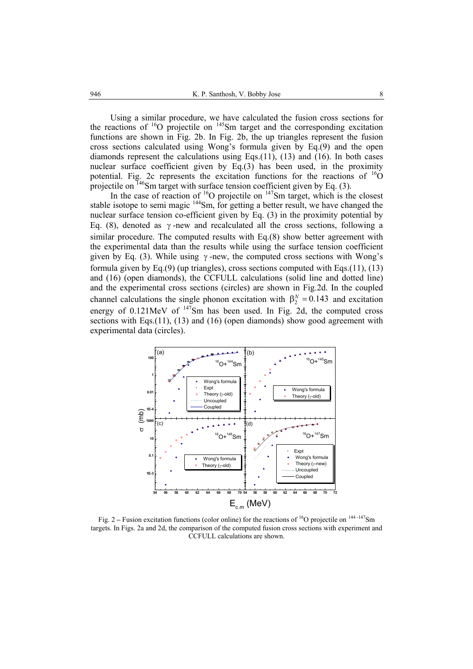Using a similar procedure, we have calculated the fusion cross sections for the reactions of  ${}^{16}O$  projectile on  ${}^{145}Sm$  target and the corresponding excitation functions are shown in Fig. 2b. In Fig. 2b, the up triangles represent the fusion cross sections calculated using Wong's formula given by Eq.(9) and the open diamonds represent the calculations using Eqs.(11), (13) and (16). In both cases nuclear surface coefficient given by Eq.(3) has been used, in the proximity potential. Fig. 2c represents the excitation functions for the reactions of  ${}^{16}O$ projectile on  $146$ Sm target with surface tension coefficient given by Eq. (3).

In the case of reaction of  ${}^{16}O$  projectile on  ${}^{147}Sm$  target, which is the closest stable isotope to semi magic  $144$ Sm, for getting a better result, we have changed the nuclear surface tension co-efficient given by Eq. (3) in the proximity potential by Eq. (8), denoted as  $\gamma$ -new and recalculated all the cross sections, following a similar procedure. The computed results with Eq.(8) show better agreement with the experimental data than the results while using the surface tension coefficient given by Eq. (3). While using  $\gamma$ -new, the computed cross sections with Wong's formula given by Eq.(9) (up triangles), cross sections computed with Eqs.(11), (13) and (16) (open diamonds), the CCFULL calculations (solid line and dotted line) and the experimental cross sections (circles) are shown in Fig.2d. In the coupled channel calculations the single phonon excitation with  $\beta_2^N = 0.143$  and excitation energy of  $0.121$ MeV of  $147$ Sm has been used. In Fig. 2d, the computed cross sections with Eqs.(11), (13) and (16) (open diamonds) show good agreement with experimental data (circles).



Fig. 2 – Fusion excitation functions (color online) for the reactions of <sup>16</sup>O projectile on <sup>144-147</sup>Sm targets. In Figs. 2a and 2d, the comparison of the computed fusion cross sections with experiment and CCFULL calculations are shown.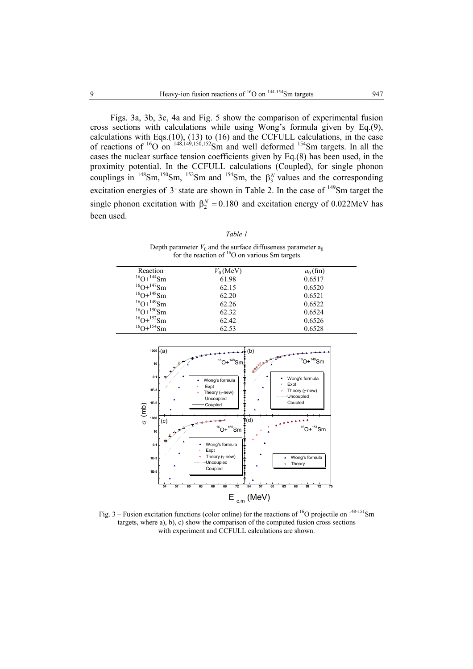Figs. 3a, 3b, 3c, 4a and Fig. 5 show the comparison of experimental fusion cross sections with calculations while using Wong's formula given by Eq.(9), calculations with Eqs.(10), (13) to (16) and the CCFULL calculations, in the case of reactions of  ${}^{16}O$  on  ${}^{148,149,150,152}$ Sm and well deformed  ${}^{154}$ Sm targets. In all the cases the nuclear surface tension coefficients given by Eq.(8) has been used, in the proximity potential. In the CCFULL calculations (Coupled), for single phonon couplings in  $^{148}Sm, ^{150}Sm, ^{152}Sm$  and  $^{154}Sm$ , the  $\beta_3^N$  values and the corresponding excitation energies of 3<sup>−</sup> state are shown in Table 2. In the case of <sup>149</sup>Sm target the single phonon excitation with  $\beta_2^N = 0.180$  and excitation energy of 0.022MeV has been used.

| I |  |
|---|--|
|---|--|

Depth parameter  $V_0$  and the surface diffuseness parameter  $a_0$ for the reaction of  ${}^{16}$ O on various Sm targets

| Reaction               | $V_0$ (MeV) | $a_0$ (fm) |
|------------------------|-------------|------------|
| $^{16}O+^{144}Sm$      | 61.98       | 0.6517     |
| $^{16}O+^{147}Sm$      | 62.15       | 0.6520     |
| $^{16}O+^{148}Sm$      | 62.20       | 0.6521     |
| $^{16}O+^{149}Sm$      | 62.26       | 0.6522     |
| $^{16}O+^{150}Sm$      | 62.32       | 0.6524     |
| $^{16}O+^{152}Sm$      | 62.42       | 0.6526     |
| $^{16}$ O+ $^{154}$ Sm | 62.53       | 0.6528     |



Fig. 3 – Fusion excitation functions (color online) for the reactions of <sup>16</sup>O projectile on <sup>148-151</sup>Sm targets, where a), b), c) show the comparison of the computed fusion cross sections with experiment and CCFULL calculations are shown.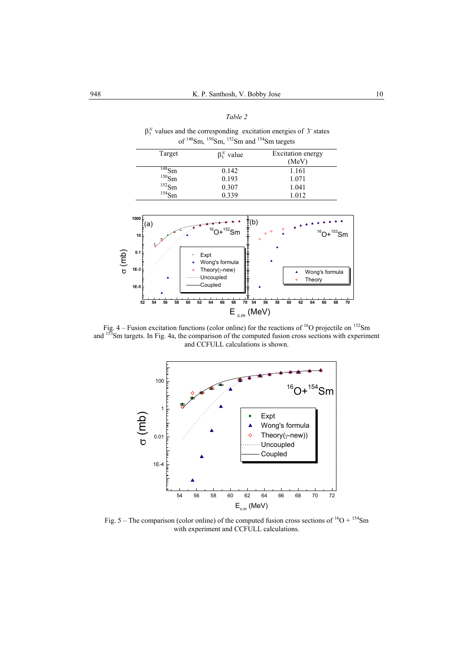#### *Table 2*

 $\beta_3^N$  values and the corresponding excitation energies of 3<sup>-</sup> states of  $148$ Sm,  $150$ Sm,  $152$ Sm and  $154$ Sm targets

| Target              | $\beta_3^N$ value | Excitation energy |
|---------------------|-------------------|-------------------|
|                     |                   | (MeV)             |
| $148$ Sm            | 0.142             | 1.161             |
| $^{150}$ Sm         | 0.193             | 1.071             |
| $^{152}$ Sm         | 0.307             | 1.041             |
| $^{154}\mathrm{Sm}$ | 0.339             | 1.012             |



Fig. 4 – Fusion excitation functions (color online) for the reactions of <sup>16</sup>O projectile on <sup>152</sup>Sm and <sup>153</sup>Sm targets. In Fig. 4a, the comparison of the computed fusion cross sections with experiment and CCFULL calculations is shown.



Fig. 5 – The comparison (color online) of the computed fusion cross sections of  ${}^{16}O + {}^{154}Sm$ with experiment and CCFULL calculations.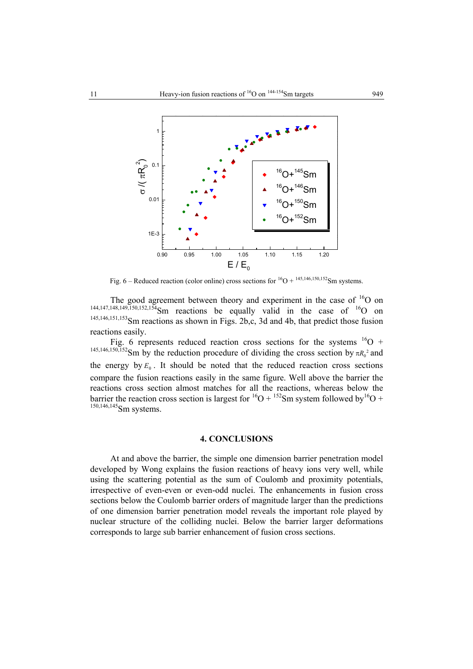

Fig. 6 – Reduced reaction (color online) cross sections for  ${}^{16}O + {}^{145,146,150,152}Sm$  systems.

The good agreement between theory and experiment in the case of  $16$ O on  $144,147,148,149,150,152,154$ Sm reactions be equally valid in the case of  $16$ O on 145,146,151,153Sm reactions as shown in Figs. 2b,c, 3d and 4b, that predict those fusion reactions easily.

Fig. 6 represents reduced reaction cross sections for the systems  ${}^{16}O$  + <sup>145,146,150,152</sup>Sm by the reduction procedure of dividing the cross section by  $\pi R_0^2$  and the energy by  $E_0$ . It should be noted that the reduced reaction cross sections compare the fusion reactions easily in the same figure. Well above the barrier the reactions cross section almost matches for all the reactions, whereas below the barrier the reaction cross section is largest for  ${}^{16}O + {}^{152}Sm$  system followed by  ${}^{16}O +$  $^{150,146,145}$ Sm systems.

## **4. CONCLUSIONS**

At and above the barrier, the simple one dimension barrier penetration model developed by Wong explains the fusion reactions of heavy ions very well, while using the scattering potential as the sum of Coulomb and proximity potentials, irrespective of even-even or even-odd nuclei. The enhancements in fusion cross sections below the Coulomb barrier orders of magnitude larger than the predictions of one dimension barrier penetration model reveals the important role played by nuclear structure of the colliding nuclei. Below the barrier larger deformations corresponds to large sub barrier enhancement of fusion cross sections.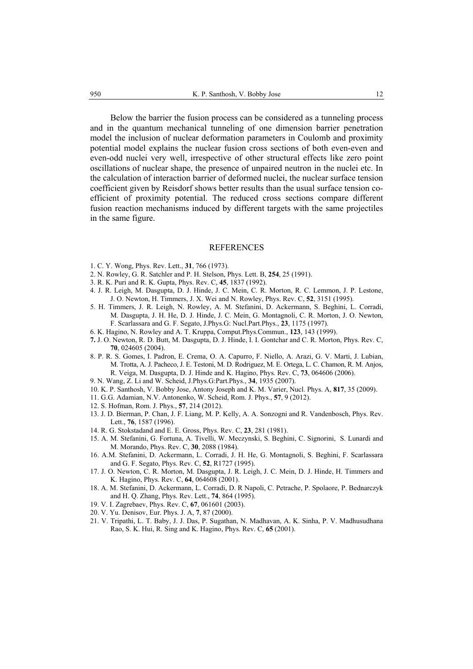Below the barrier the fusion process can be considered as a tunneling process and in the quantum mechanical tunneling of one dimension barrier penetration model the inclusion of nuclear deformation parameters in Coulomb and proximity potential model explains the nuclear fusion cross sections of both even-even and even-odd nuclei very well, irrespective of other structural effects like zero point oscillations of nuclear shape, the presence of unpaired neutron in the nuclei etc. In the calculation of interaction barrier of deformed nuclei, the nuclear surface tension coefficient given by Reisdorf shows better results than the usual surface tension coefficient of proximity potential. The reduced cross sections compare different fusion reaction mechanisms induced by different targets with the same projectiles in the same figure.

#### REFERENCES

- 1. C. Y. Wong, Phys. Rev. Lett., **31**, 766 (1973).
- 2. N. Rowley, G. R. Satchler and P. H. Stelson, Phys. Lett. B, **254**, 25 (1991).
- 3. R. K. Puri and R. K. Gupta, Phys. Rev. C, **45**, 1837 (1992).
- 4. J. R. Leigh, M. Dasgupta, D. J. Hinde, J. C. Mein, C. R. Morton, R. C. Lemmon, J. P. Lestone, J. O. Newton, H. Timmers, J. X. Wei and N. Rowley, Phys. Rev. C, **52**, 3151 (1995).
- 5. H. Timmers, J. R. Leigh, N. Rowley, A. M. Stefanini, D. Ackermann, S. Beghini, L. Corradi, M. Dasgupta, J. H. He, D. J. Hinde, J. C. Mein, G. Montagnoli, C. R. Morton, J. O. Newton, F. Scarlassara and G. F. Segato, J.Phys.G: Nucl.Part.Phys., **23**, 1175 (1997).
- 6. K. Hagino, N. Rowley and A. T. Kruppa, Comput.Phys.Commun., **123**, 143 (1999).
- **7.** J. O. Newton, R. D. Butt, M. Dasgupta, D. J. Hinde, I. I. Gontchar and C. R. Morton, Phys. Rev. C, **70**, 024605 (2004).
- 8. P. R. S. Gomes, I. Padron, E. Crema, O. A. Capurro, F. Niello, A. Arazi, G. V. Marti, J. Lubian, M. Trotta, A. J. Pacheco, J. E. Testoni, M. D. Rodriguez, M. E. Ortega, L. C. Chamon, R. M. Anjos, R. Veiga, M. Dasgupta, D. J. Hinde and K. Hagino, Phys. Rev. C, **73**, 064606 (2006).
- 9. N. Wang, Z. Li and W. Scheid, J.Phys.G:Part.Phys., **34**, 1935 (2007).
- 10. K. P. Santhosh, V. Bobby Jose, Antony Joseph and K. M. Varier, Nucl. Phys. A, **817**, 35 (2009).
- 11. G.G. Adamian, N.V. Antonenko, W. Scheid, Rom. J. Phys., **57**, 9 (2012).
- 12. S. Hofman, Rom. J. Phys., **57**, 214 (2012).
- 13. J. D. Bierman, P. Chan, J. F. Liang, M. P. Kelly, A. A. Sonzogni and R. Vandenbosch, Phys. Rev. Lett., **76**, 1587 (1996).
- 14. R. G. Stokstadand and E. E. Gross, Phys. Rev. C, **23**, 281 (1981).
- 15. A. M. Stefanini, G. Fortuna, A. Tivelli, W. Meczynski, S. Beghini, C. Signorini, S. Lunardi and M. Morando, Phys. Rev. C, **30**, 2088 (1984).
- 16. A.M. Stefanini, D. Ackermann, L. Corradi, J. H. He, G. Montagnoli, S. Beghini, F. Scarlassara and G. F. Segato, Phys. Rev. C, **52**, R1727 (1995).
- 17. J. O. Newton, C. R. Morton, M. Dasgupta, J. R. Leigh, J. C. Mein, D. J. Hinde, H. Timmers and K. Hagino, Phys. Rev. C, **64**, 064608 (2001).
- 18. A. M. Stefanini, D. Ackermann, L. Corradi, D. R Napoli, C. Petrache, P. Spolaore, P. Bednarczyk and H. Q. Zhang, Phys. Rev. Lett., **74**, 864 (1995).
- 19. V. I. Zagrebaev, Phys. Rev. C, **67**, 061601 (2003).
- 20. V. Yu. Denisov, Eur. Phys. J. A, **7**, 87 (2000).
- 21. V. Tripathi, L. T. Baby, J. J. Das, P. Sugathan, N. Madhavan, A. K. Sinha, P. V. Madhusudhana Rao, S. K. Hui, R. Sing and K. Hagino, Phys. Rev. C, **65** (2001).